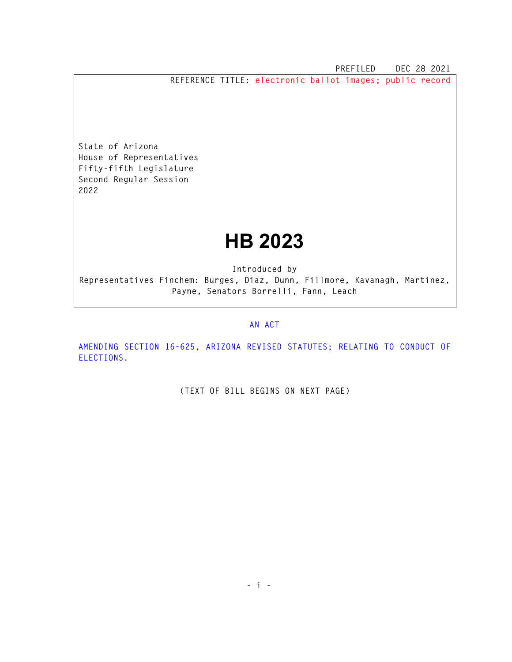**PREFILED DEC 28 2021** 

**REFERENCE TITLE: electronic ballot images; public record** 

**State of Arizona House of Representatives Fifty-fifth Legislature Second Regular Session 2022** 

## **HB 2023**

**Introduced by Representatives Finchem: Burges, Diaz, Dunn, Fillmore, Kavanagh, Martinez, Payne, Senators Borrelli, Fann, Leach** 

## **AN ACT**

**AMENDING SECTION 16-625, ARIZONA REVISED STATUTES; RELATING TO CONDUCT OF ELECTIONS.** 

**(TEXT OF BILL BEGINS ON NEXT PAGE)**